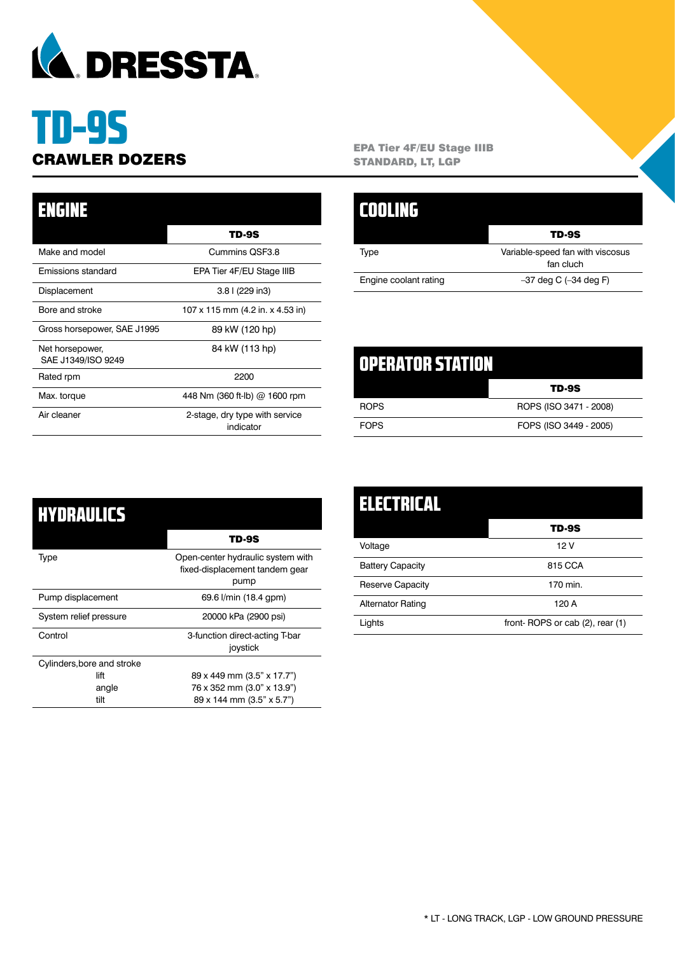

# TD-9S

| <b>ENGINE</b>                         |                                             |
|---------------------------------------|---------------------------------------------|
|                                       | TD-9S                                       |
| Make and model                        | Cummins QSF3.8                              |
| Emissions standard                    | EPA Tier 4F/EU Stage IIIB                   |
| Displacement                          | 3.8 l (229 in3)                             |
| Bore and stroke                       | 107 x 115 mm (4.2 in. x 4.53 in)            |
| Gross horsepower, SAE J1995           | 89 kW (120 hp)                              |
| Net horsepower,<br>SAE J1349/ISO 9249 | 84 kW (113 hp)                              |
| Rated rpm                             | 2200                                        |
| Max. torque                           | 448 Nm (360 ft-lb) @ 1600 rpm               |
| Air cleaner                           | 2-stage, dry type with service<br>indicator |

**CRAWLER DOZERS** EPA Tier 4F/EU Stage IIIB<br>
STANDARD, LT, LGP STANDARD, LT, LGP

|                       | <b>TD-9S</b>                                  |
|-----------------------|-----------------------------------------------|
| Type                  | Variable-speed fan with viscosus<br>fan cluch |
| Engine coolant rating | $-37$ deg C $(-34$ deg F)                     |

| LOPERATOR STATION |                        |
|-------------------|------------------------|
|                   | <b>TD-9S</b>           |
| <b>ROPS</b>       | ROPS (ISO 3471 - 2008) |
| <b>FOPS</b>       | FOPS (ISO 3449 - 2005) |

| HYDRAULICS                 |                                                                             |
|----------------------------|-----------------------------------------------------------------------------|
|                            | TD-9S                                                                       |
| Type                       | Open-center hydraulic system with<br>fixed-displacement tandem gear<br>pump |
| Pump displacement          | 69.6 l/min (18.4 gpm)                                                       |
| System relief pressure     | 20000 kPa (2900 psi)                                                        |
| Control                    | 3-function direct-acting T-bar<br>joystick                                  |
| Cylinders, bore and stroke |                                                                             |
| lift                       | 89 x 449 mm (3.5" x 17.7")                                                  |
| angle                      | 76 x 352 mm (3.0" x 13.9")                                                  |
| tilt                       | 89 x 144 mm (3.5" x 5.7")                                                   |

| ELECTRICAL              |                                 |
|-------------------------|---------------------------------|
|                         | <b>TD-9S</b>                    |
| Voltage                 | 12 V                            |
| <b>Battery Capacity</b> | 815 CCA                         |
| Reserve Capacity        | 170 min.                        |
| Alternator Rating       | 120 A                           |
| Lights                  | front-ROPS or cab (2), rear (1) |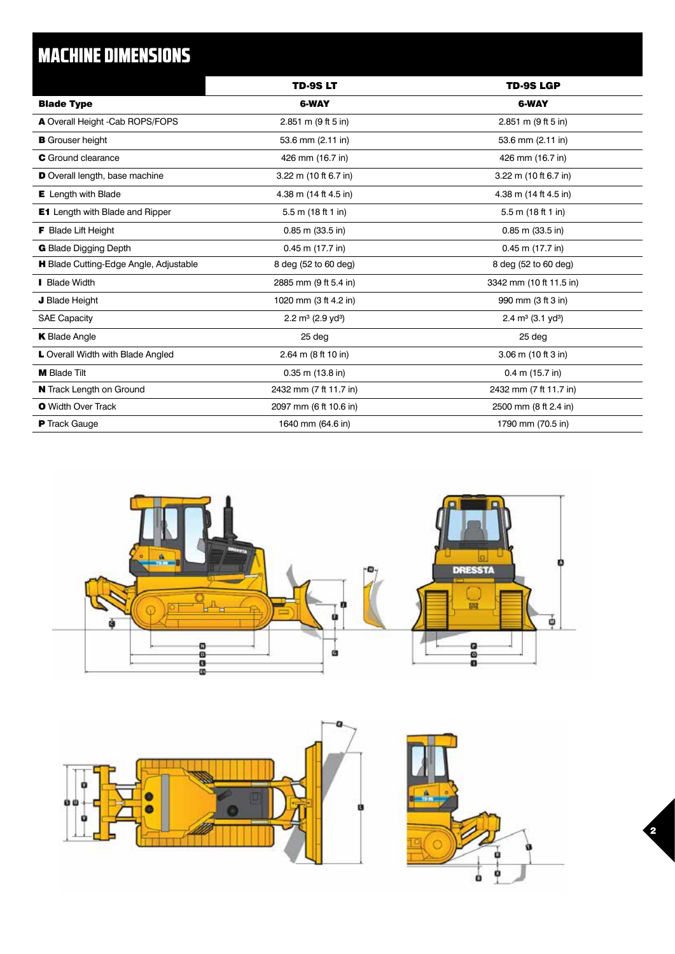## MACHINE DIMENSIONS

|                                        | <b>TD-9SLT</b>                   | <b>TD-9S LGP</b>                 |
|----------------------------------------|----------------------------------|----------------------------------|
| <b>Blade Type</b>                      | <b>6-WAY</b>                     | 6-WAY                            |
| A Overall Height -Cab ROPS/FOPS        | 2.851 m (9 ft 5 in)              | 2.851 m (9 ft 5 in)              |
| <b>B</b> Grouser height                | 53.6 mm (2.11 in)                | 53.6 mm (2.11 in)                |
| <b>C</b> Ground clearance              | 426 mm (16.7 in)                 | 426 mm (16.7 in)                 |
| D Overall length, base machine         | 3.22 m (10 ft 6.7 in)            | 3.22 m (10 ft 6.7 in)            |
| E Length with Blade                    | 4.38 m (14 ft 4.5 in)            | 4.38 m (14 ft 4.5 in)            |
| <b>E1</b> Length with Blade and Ripper | 5.5 m (18 ft 1 in)               | 5.5 m (18 ft 1 in)               |
| <b>F</b> Blade Lift Height             | $0.85$ m $(33.5)$ in)            | $0.85$ m $(33.5)$ in)            |
| <b>G</b> Blade Digging Depth           | $0.45$ m $(17.7$ in)             | $0.45$ m $(17.7$ in)             |
| H Blade Cutting-Edge Angle, Adjustable | 8 deg (52 to 60 deg)             | 8 deg (52 to 60 deg)             |
| <b>Blade Width</b>                     | 2885 mm (9 ft 5.4 in)            | 3342 mm (10 ft 11.5 in)          |
| J Blade Height                         | 1020 mm (3 ft 4.2 in)            | 990 mm (3 ft 3 in)               |
| <b>SAE Capacity</b>                    | 2.2 $m^3$ (2.9 yd <sup>3</sup> ) | 2.4 $m^3$ (3.1 yd <sup>3</sup> ) |
| <b>K</b> Blade Angle                   | 25 deg                           | 25 deg                           |
| L Overall Width with Blade Angled      | 2.64 m (8 ft 10 in)              | 3.06 m (10 ft 3 in)              |
| <b>M</b> Blade Tilt                    | $0.35$ m $(13.8)$ in)            | $0.4$ m $(15.7)$ in              |
| N Track Length on Ground               | 2432 mm (7 ft 11.7 in)           | 2432 mm (7 ft 11.7 in)           |
| <b>O</b> Width Over Track              | 2097 mm (6 ft 10.6 in)           | 2500 mm (8 ft 2.4 in)            |
| <b>P</b> Track Gauge                   | 1640 mm (64.6 in)                | 1790 mm (70.5 in)                |



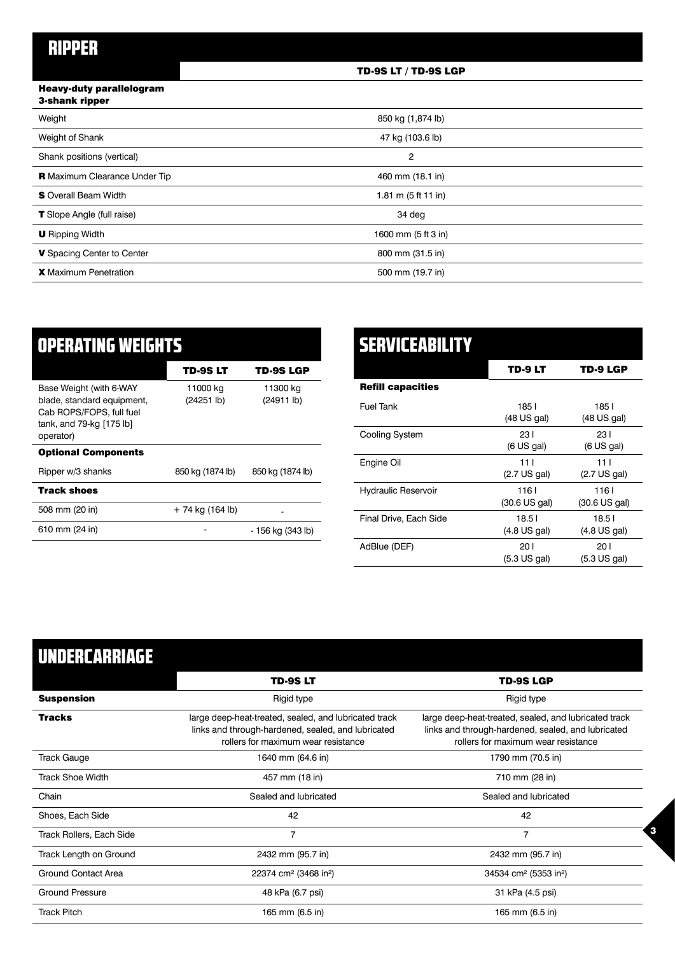#### TD-9S LT / TD-9S LGP

#### Heavy-duty parallelogram 3-shank ripper

| .                                    |                       |  |
|--------------------------------------|-----------------------|--|
| Weight                               | 850 kg (1,874 lb)     |  |
| Weight of Shank                      | 47 kg (103.6 lb)      |  |
| Shank positions (vertical)           | $\overline{2}$        |  |
| <b>R</b> Maximum Clearance Under Tip | 460 mm (18.1 in)      |  |
| <b>S</b> Overall Beam Width          | 1.81 m $(5 ft 11 in)$ |  |
| <b>T</b> Slope Angle (full raise)    | 34 deg                |  |
| <b>U</b> Ripping Width               | 1600 mm (5 ft 3 in)   |  |
| V Spacing Center to Center           | 800 mm (31.5 in)      |  |
| <b>X</b> Maximum Penetration         | 500 mm (19.7 in)      |  |
|                                      |                       |  |

| <b>OPERATING WEIGHTS</b>                                                                                                   |                        |                        |
|----------------------------------------------------------------------------------------------------------------------------|------------------------|------------------------|
|                                                                                                                            | TD-9S LT               | TD-9S LGP              |
| Base Weight (with 6-WAY<br>blade, standard equipment,<br>Cab ROPS/FOPS, full fuel<br>tank, and 79-kg [175 lb]<br>operator) | 11000 kg<br>(24251 lb) | 11300 kg<br>(24911 lb) |
| <b>Optional Components</b>                                                                                                 |                        |                        |
| Ripper w/3 shanks                                                                                                          | 850 kg (1874 lb)       | 850 kg (1874 lb)       |
| <b>Track shoes</b>                                                                                                         |                        |                        |
| 508 mm (20 in)                                                                                                             | + 74 kg (164 lb)       |                        |
| 610 mm (24 in)                                                                                                             |                        | - 156 kg (343 lb)      |

| SERVICEABILITY             |                                 |                                           |
|----------------------------|---------------------------------|-------------------------------------------|
|                            | TD-9 LT                         | TD-9 LGP                                  |
| <b>Refill capacities</b>   |                                 |                                           |
| <b>Fuel Tank</b>           | 185 <sub>1</sub><br>(48 US gal) | 1851<br>(48 US gal)                       |
| Cooling System             | 23 I<br>(6 US gal)              | 23 I<br>$(6 \text{ US gal})$              |
| Engine Oil                 | 111<br>$(2.7 \text{ US gal})$   | 11 <sub>1</sub><br>$(2.7 \text{ US gal})$ |
| <b>Hydraulic Reservoir</b> | 1161<br>$(30.6 \text{ US gal})$ | 1161<br>$(30.6 \text{ US gal})$           |
| Final Drive, Each Side     | 18.51<br>$(4.8 \text{ US gal})$ | 18.51<br>$(4.8 \text{ US gal})$           |
| AdBlue (DEF)               | 201<br>(5.3 US gal)             | 20 I<br>$(5.3 \text{ US gal})$            |

# UNDERCARRIAGE

|                            | <b>TD-9SLT</b>                                                                                                                                     | <b>TD-9S LGP</b>                                                                                                                                   |
|----------------------------|----------------------------------------------------------------------------------------------------------------------------------------------------|----------------------------------------------------------------------------------------------------------------------------------------------------|
| <b>Suspension</b>          | Rigid type                                                                                                                                         | Rigid type                                                                                                                                         |
| <b>Tracks</b>              | large deep-heat-treated, sealed, and lubricated track<br>links and through-hardened, sealed, and lubricated<br>rollers for maximum wear resistance | large deep-heat-treated, sealed, and lubricated track<br>links and through-hardened, sealed, and lubricated<br>rollers for maximum wear resistance |
| <b>Track Gauge</b>         | 1640 mm (64.6 in)                                                                                                                                  | 1790 mm (70.5 in)                                                                                                                                  |
| <b>Track Shoe Width</b>    | 457 mm (18 in)                                                                                                                                     | 710 mm (28 in)                                                                                                                                     |
| Chain                      | Sealed and lubricated                                                                                                                              | Sealed and lubricated                                                                                                                              |
| Shoes, Each Side           | 42                                                                                                                                                 | 42                                                                                                                                                 |
| Track Rollers, Each Side   | $\overline{7}$                                                                                                                                     | $\overline{7}$                                                                                                                                     |
| Track Length on Ground     | 2432 mm (95.7 in)                                                                                                                                  | 2432 mm (95.7 in)                                                                                                                                  |
| <b>Ground Contact Area</b> | 22374 cm <sup>2</sup> (3468 in <sup>2</sup> )                                                                                                      | 34534 cm <sup>2</sup> (5353 in <sup>2</sup> )                                                                                                      |
| <b>Ground Pressure</b>     | 48 kPa (6.7 psi)                                                                                                                                   | 31 kPa (4.5 psi)                                                                                                                                   |
| <b>Track Pitch</b>         | 165 mm (6.5 in)                                                                                                                                    | 165 mm (6.5 in)                                                                                                                                    |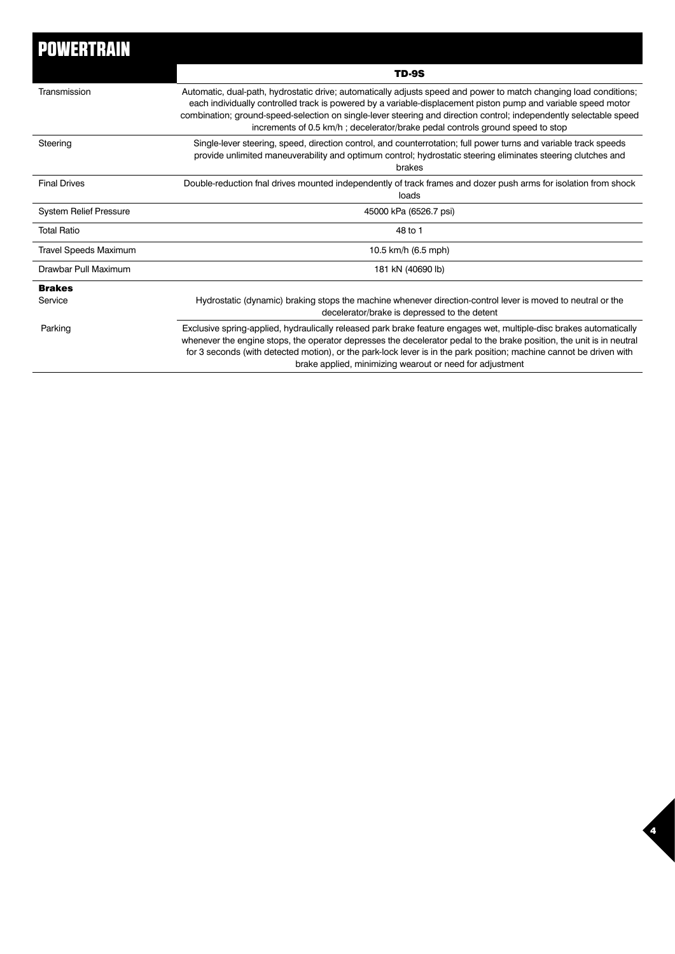| <b>POWERTRAIN</b>             |                                                                                                                                                                                                                                                                                                                                                                                                                                           |
|-------------------------------|-------------------------------------------------------------------------------------------------------------------------------------------------------------------------------------------------------------------------------------------------------------------------------------------------------------------------------------------------------------------------------------------------------------------------------------------|
|                               | <b>TD-9S</b>                                                                                                                                                                                                                                                                                                                                                                                                                              |
| Transmission                  | Automatic, dual-path, hydrostatic drive; automatically adjusts speed and power to match changing load conditions;<br>each individually controlled track is powered by a variable-displacement piston pump and variable speed motor<br>combination; ground-speed-selection on single-lever steering and direction control; independently selectable speed<br>increments of 0.5 km/h; decelerator/brake pedal controls ground speed to stop |
| Steering                      | Single-lever steering, speed, direction control, and counterrotation; full power turns and variable track speeds<br>provide unlimited maneuverability and optimum control; hydrostatic steering eliminates steering clutches and<br>brakes                                                                                                                                                                                                |
| <b>Final Drives</b>           | Double-reduction fnal drives mounted independently of track frames and dozer push arms for isolation from shock<br>loads                                                                                                                                                                                                                                                                                                                  |
| <b>System Relief Pressure</b> | 45000 kPa (6526.7 psi)                                                                                                                                                                                                                                                                                                                                                                                                                    |
| <b>Total Ratio</b>            | 48 to 1                                                                                                                                                                                                                                                                                                                                                                                                                                   |
| <b>Travel Speeds Maximum</b>  | 10.5 km/h (6.5 mph)                                                                                                                                                                                                                                                                                                                                                                                                                       |
| Drawbar Pull Maximum          | 181 kN (40690 lb)                                                                                                                                                                                                                                                                                                                                                                                                                         |
| <b>Brakes</b>                 |                                                                                                                                                                                                                                                                                                                                                                                                                                           |
| Service                       | Hydrostatic (dynamic) braking stops the machine whenever direction-control lever is moved to neutral or the<br>decelerator/brake is depressed to the detent                                                                                                                                                                                                                                                                               |
| Parking                       | Exclusive spring-applied, hydraulically released park brake feature engages wet, multiple-disc brakes automatically<br>whenever the engine stops, the operator depresses the decelerator pedal to the brake position, the unit is in neutral<br>for 3 seconds (with detected motion), or the park-lock lever is in the park position; machine cannot be driven with<br>brake applied, minimizing wearout or need for adjustment           |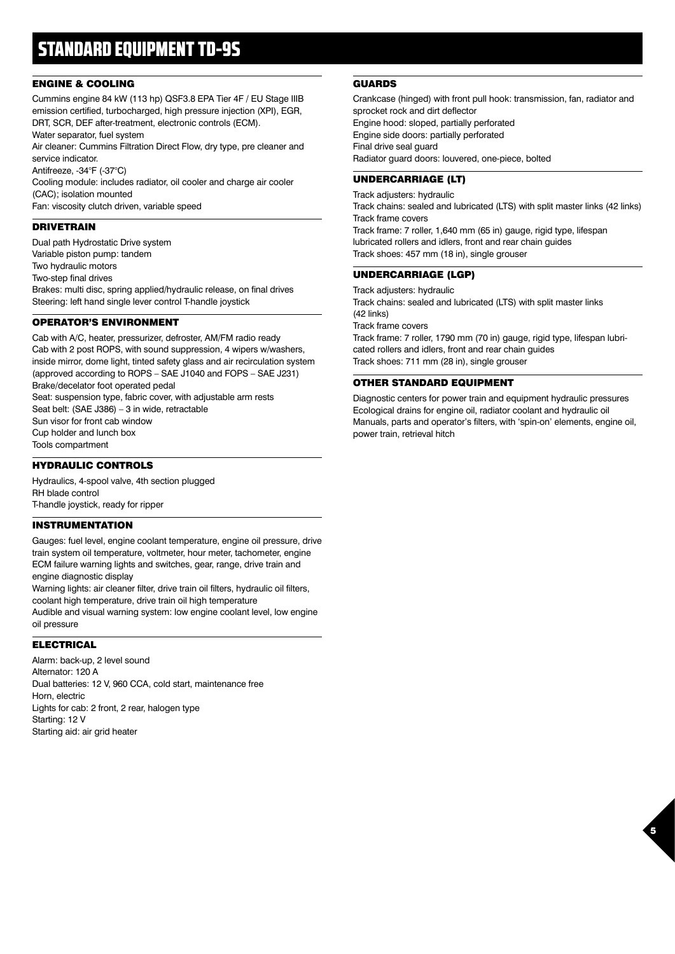## STANDARD EQUIPMENT TD-9S

#### ENGINE & COOLING

Cummins engine 84 kW (113 hp) QSF3.8 EPA Tier 4F / EU Stage IIIB emission certified, turbocharged, high pressure injection (XPI), EGR, DRT, SCR, DEF after-treatment, electronic controls (ECM). Water separator, fuel system

Air cleaner: Cummins Filtration Direct Flow, dry type, pre cleaner and service indicator.

Antifreeze, -34°F (-37°C)

Cooling module: includes radiator, oil cooler and charge air cooler (CAC); isolation mounted

Fan: viscosity clutch driven, variable speed

#### DRIVETRAIN

Dual path Hydrostatic Drive system Variable piston pump: tandem Two hydraulic motors Two-step final drives Brakes: multi disc, spring applied/hydraulic release, on final drives Steering: left hand single lever control T-handle joystick

#### OPERATOR'S ENVIRONMENT

Cab with A/C, heater, pressurizer, defroster, AM/FM radio ready Cab with 2 post ROPS, with sound suppression, 4 wipers w/washers, inside mirror, dome light, tinted safety glass and air recirculation system (approved according to ROPS – SAE J1040 and FOPS – SAE J231) Brake/decelator foot operated pedal Seat: suspension type, fabric cover, with adjustable arm rests Seat belt: (SAE J386) – 3 in wide, retractable Sun visor for front cab window Cup holder and lunch box Tools compartment

#### HYDRAULIC CONTROLS

Hydraulics, 4-spool valve, 4th section plugged RH blade control T-handle joystick, ready for ripper

#### INSTRUMENTATION

Gauges: fuel level, engine coolant temperature, engine oil pressure, drive train system oil temperature, voltmeter, hour meter, tachometer, engine ECM failure warning lights and switches, gear, range, drive train and engine diagnostic display

Warning lights: air cleaner filter, drive train oil filters, hydraulic oil filters, coolant high temperature, drive train oil high temperature

Audible and visual warning system: low engine coolant level, low engine oil pressure

#### ELECTRICAL

Alarm: back-up, 2 level sound Alternator: 120 A Dual batteries: 12 V, 960 CCA, cold start, maintenance free Horn, electric Lights for cab: 2 front, 2 rear, halogen type Starting: 12 V Starting aid: air grid heater

#### GUARDS

Crankcase (hinged) with front pull hook: transmission, fan, radiator and sprocket rock and dirt deflector Engine hood: sloped, partially perforated Engine side doors: partially perforated Final drive seal guard Radiator guard doors: louvered, one-piece, bolted

#### UNDERCARRIAGE (LT)

Track adjusters: hydraulic Track chains: sealed and lubricated (LTS) with split master links (42 links) Track frame covers Track frame: 7 roller, 1,640 mm (65 in) gauge, rigid type, lifespan lubricated rollers and idlers, front and rear chain guides Track shoes: 457 mm (18 in), single grouser

#### UNDERCARRIAGE (LGP)

Track adjusters: hydraulic Track chains: sealed and lubricated (LTS) with split master links (42 links) Track frame covers Track frame: 7 roller, 1790 mm (70 in) gauge, rigid type, lifespan lubricated rollers and idlers, front and rear chain guides Track shoes: 711 mm (28 in), single grouser

#### OTHER STANDARD EQUIPMENT

Diagnostic centers for power train and equipment hydraulic pressures Ecological drains for engine oil, radiator coolant and hydraulic oil Manuals, parts and operator's filters, with 'spin-on' elements, engine oil, power train, retrieval hitch